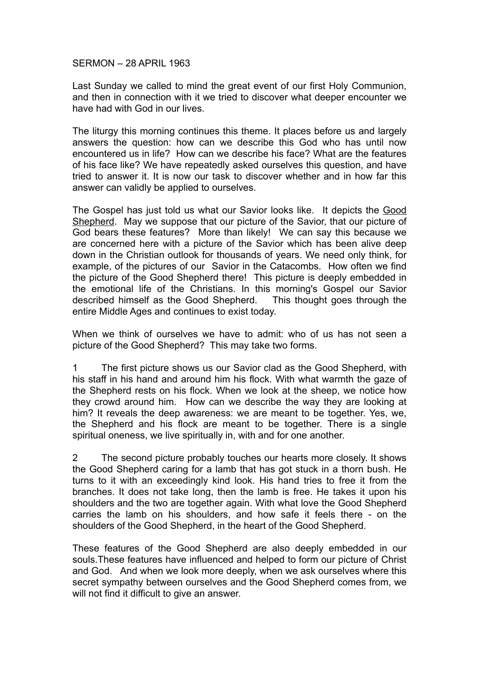## SERMON – 28 APRIL 1963

Last Sunday we called to mind the great event of our first Holy Communion, and then in connection with it we tried to discover what deeper encounter we have had with God in our lives.

The liturgy this morning continues this theme. It places before us and largely answers the question: how can we describe this God who has until now encountered us in life? How can we describe his face? What are the features of his face like? We have repeatedly asked ourselves this question, and have tried to answer it. It is now our task to discover whether and in how far this answer can validly be applied to ourselves.

The Gospel has just told us what our Savior looks like. It depicts the Good Shepherd. May we suppose that our picture of the Savior, that our picture of God bears these features? More than likely! We can say this because we are concerned here with a picture of the Savior which has been alive deep down in the Christian outlook for thousands of years. We need only think, for example, of the pictures of our Savior in the Catacombs. How often we find the picture of the Good Shepherd there! This picture is deeply embedded in the emotional life of the Christians. In this morning's Gospel our Savior described himself as the Good Shepherd. This thought goes through the entire Middle Ages and continues to exist today.

When we think of ourselves we have to admit: who of us has not seen a picture of the Good Shepherd? This may take two forms.

1 The first picture shows us our Savior clad as the Good Shepherd, with his staff in his hand and around him his flock. With what warmth the gaze of the Shepherd rests on his flock. When we look at the sheep, we notice how they crowd around him. How can we describe the way they are looking at him? It reveals the deep awareness: we are meant to be together. Yes, we, the Shepherd and his flock are meant to be together. There is a single spiritual oneness, we live spiritually in, with and for one another.

2 The second picture probably touches our hearts more closely. It shows the Good Shepherd caring for a lamb that has got stuck in a thorn bush. He turns to it with an exceedingly kind look. His hand tries to free it from the branches. It does not take long, then the lamb is free. He takes it upon his shoulders and the two are together again. With what love the Good Shepherd carries the lamb on his shoulders, and how safe it feels there - on the shoulders of the Good Shepherd, in the heart of the Good Shepherd.

These features of the Good Shepherd are also deeply embedded in our souls.These features have influenced and helped to form our picture of Christ and God. And when we look more deeply, when we ask ourselves where this secret sympathy between ourselves and the Good Shepherd comes from, we will not find it difficult to give an answer.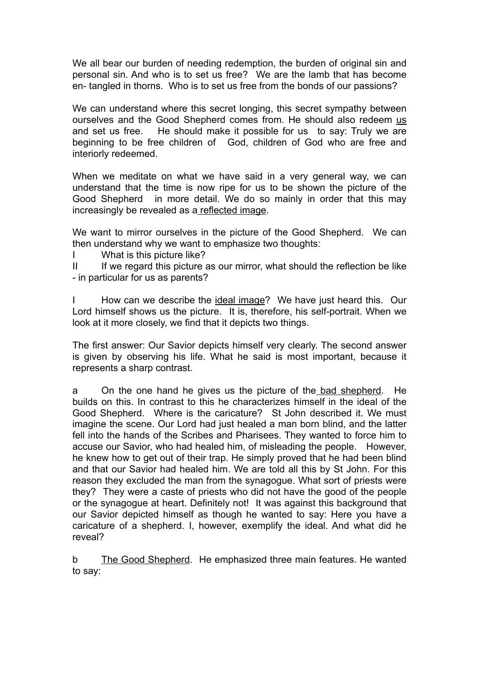We all bear our burden of needing redemption, the burden of original sin and personal sin. And who is to set us free? We are the lamb that has become en- tangled in thorns. Who is to set us free from the bonds of our passions?

We can understand where this secret longing, this secret sympathy between ourselves and the Good Shepherd comes from. He should also redeem us and set us free. He should make it possible for us to say: Truly we are beginning to be free children of God, children of God who are free and interiorly redeemed.

When we meditate on what we have said in a very general way, we can understand that the time is now ripe for us to be shown the picture of the Good Shepherd in more detail. We do so mainly in order that this may increasingly be revealed as a reflected image.

We want to mirror ourselves in the picture of the Good Shepherd. We can then understand why we want to emphasize two thoughts:

I What is this picture like?

II If we regard this picture as our mirror, what should the reflection be like - in particular for us as parents?

How can we describe the ideal image? We have just heard this. Our Lord himself shows us the picture. It is, therefore, his self-portrait. When we look at it more closely, we find that it depicts two things.

The first answer: Our Savior depicts himself very clearly. The second answer is given by observing his life. What he said is most important, because it represents a sharp contrast.

a On the one hand he gives us the picture of the bad shepherd. He builds on this. In contrast to this he characterizes himself in the ideal of the Good Shepherd. Where is the caricature? St John described it. We must imagine the scene. Our Lord had just healed a man born blind, and the latter fell into the hands of the Scribes and Pharisees. They wanted to force him to accuse our Savior, who had healed him, of misleading the people. However, he knew how to get out of their trap. He simply proved that he had been blind and that our Savior had healed him. We are told all this by St John. For this reason they excluded the man from the synagogue. What sort of priests were they? They were a caste of priests who did not have the good of the people or the synagogue at heart. Definitely not! It was against this background that our Savior depicted himself as though he wanted to say: Here you have a caricature of a shepherd. I, however, exemplify the ideal. And what did he reveal?

b The Good Shepherd. He emphasized three main features. He wanted to say: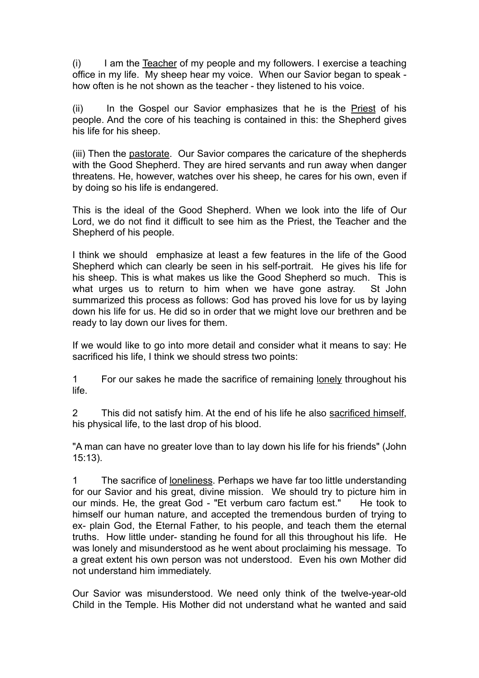(i) I am the Teacher of my people and my followers. I exercise a teaching office in my life. My sheep hear my voice. When our Savior began to speak how often is he not shown as the teacher - they listened to his voice.

(ii) In the Gospel our Savior emphasizes that he is the Priest of his people. And the core of his teaching is contained in this: the Shepherd gives his life for his sheep.

(iii) Then the pastorate. Our Savior compares the caricature of the shepherds with the Good Shepherd. They are hired servants and run away when danger threatens. He, however, watches over his sheep, he cares for his own, even if by doing so his life is endangered.

This is the ideal of the Good Shepherd. When we look into the life of Our Lord, we do not find it difficult to see him as the Priest, the Teacher and the Shepherd of his people.

I think we should emphasize at least a few features in the life of the Good Shepherd which can clearly be seen in his self-portrait. He gives his life for his sheep. This is what makes us like the Good Shepherd so much. This is what urges us to return to him when we have gone astray. St John summarized this process as follows: God has proved his love for us by laying down his life for us. He did so in order that we might love our brethren and be ready to lay down our lives for them.

If we would like to go into more detail and consider what it means to say: He sacrificed his life, I think we should stress two points:

1 For our sakes he made the sacrifice of remaining lonely throughout his life.

2 This did not satisfy him. At the end of his life he also sacrificed himself, his physical life, to the last drop of his blood.

"A man can have no greater love than to lay down his life for his friends" (John 15:13).

1 The sacrifice of loneliness. Perhaps we have far too little understanding for our Savior and his great, divine mission. We should try to picture him in our minds. He, the great God - "Et verbum caro factum est." He took to himself our human nature, and accepted the tremendous burden of trying to ex- plain God, the Eternal Father, to his people, and teach them the eternal truths. How little under- standing he found for all this throughout his life. He was lonely and misunderstood as he went about proclaiming his message. To a great extent his own person was not understood. Even his own Mother did not understand him immediately.

Our Savior was misunderstood. We need only think of the twelve-year-old Child in the Temple. His Mother did not understand what he wanted and said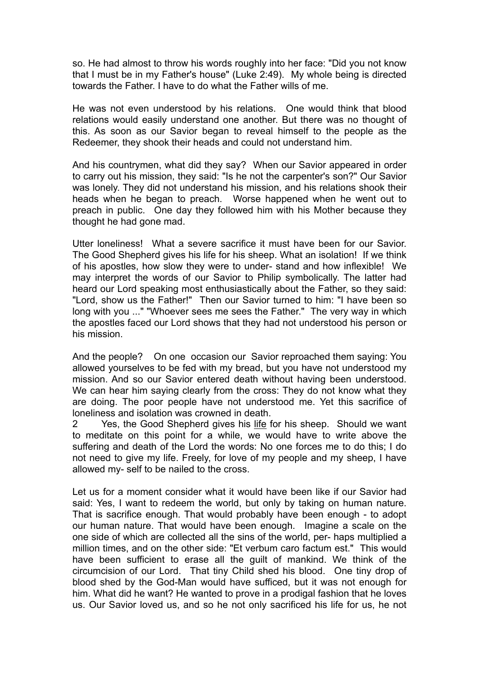so. He had almost to throw his words roughly into her face: "Did you not know that I must be in my Father's house" (Luke 2:49). My whole being is directed towards the Father. I have to do what the Father wills of me.

He was not even understood by his relations. One would think that blood relations would easily understand one another. But there was no thought of this. As soon as our Savior began to reveal himself to the people as the Redeemer, they shook their heads and could not understand him.

And his countrymen, what did they say? When our Savior appeared in order to carry out his mission, they said: "Is he not the carpenter's son?" Our Savior was lonely. They did not understand his mission, and his relations shook their heads when he began to preach. Worse happened when he went out to preach in public. One day they followed him with his Mother because they thought he had gone mad.

Utter loneliness! What a severe sacrifice it must have been for our Savior. The Good Shepherd gives his life for his sheep. What an isolation! If we think of his apostles, how slow they were to under- stand and how inflexible! We may interpret the words of our Savior to Philip symbolically. The latter had heard our Lord speaking most enthusiastically about the Father, so they said: "Lord, show us the Father!" Then our Savior turned to him: "I have been so long with you ..." "Whoever sees me sees the Father." The very way in which the apostles faced our Lord shows that they had not understood his person or his mission.

And the people? On one occasion our Savior reproached them saying: You allowed yourselves to be fed with my bread, but you have not understood my mission. And so our Savior entered death without having been understood. We can hear him saying clearly from the cross: They do not know what they are doing. The poor people have not understood me. Yet this sacrifice of loneliness and isolation was crowned in death.

2 Yes, the Good Shepherd gives his life for his sheep. Should we want to meditate on this point for a while, we would have to write above the suffering and death of the Lord the words: No one forces me to do this; I do not need to give my life. Freely, for love of my people and my sheep, I have allowed my- self to be nailed to the cross.

Let us for a moment consider what it would have been like if our Savior had said: Yes, I want to redeem the world, but only by taking on human nature. That is sacrifice enough. That would probably have been enough - to adopt our human nature. That would have been enough. Imagine a scale on the one side of which are collected all the sins of the world, per- haps multiplied a million times, and on the other side: "Et verbum caro factum est." This would have been sufficient to erase all the guilt of mankind. We think of the circumcision of our Lord. That tiny Child shed his blood. One tiny drop of blood shed by the God-Man would have sufficed, but it was not enough for him. What did he want? He wanted to prove in a prodigal fashion that he loves us. Our Savior loved us, and so he not only sacrificed his life for us, he not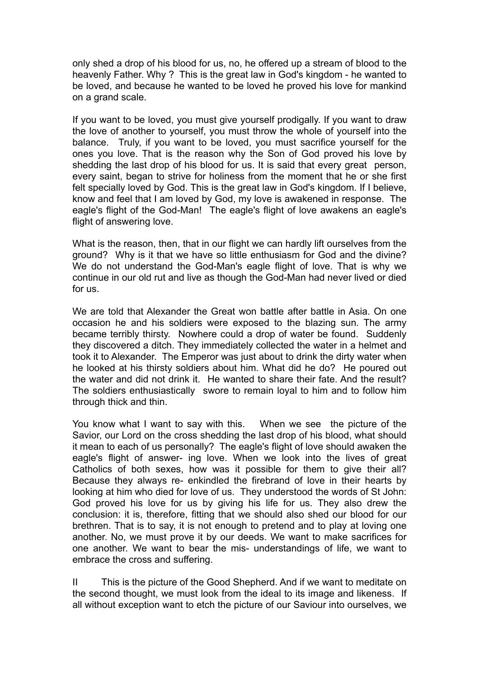only shed a drop of his blood for us, no, he offered up a stream of blood to the heavenly Father. Why ? This is the great law in God's kingdom - he wanted to be loved, and because he wanted to be loved he proved his love for mankind on a grand scale.

If you want to be loved, you must give yourself prodigally. If you want to draw the love of another to yourself, you must throw the whole of yourself into the balance. Truly, if you want to be loved, you must sacrifice yourself for the ones you love. That is the reason why the Son of God proved his love by shedding the last drop of his blood for us. It is said that every great person, every saint, began to strive for holiness from the moment that he or she first felt specially loved by God. This is the great law in God's kingdom. If I believe, know and feel that I am loved by God, my love is awakened in response. The eagle's flight of the God-Man! The eagle's flight of love awakens an eagle's flight of answering love.

What is the reason, then, that in our flight we can hardly lift ourselves from the ground? Why is it that we have so little enthusiasm for God and the divine? We do not understand the God-Man's eagle flight of love. That is why we continue in our old rut and live as though the God-Man had never lived or died for us.

We are told that Alexander the Great won battle after battle in Asia. On one occasion he and his soldiers were exposed to the blazing sun. The army became terribly thirsty. Nowhere could a drop of water be found. Suddenly they discovered a ditch. They immediately collected the water in a helmet and took it to Alexander. The Emperor was just about to drink the dirty water when he looked at his thirsty soldiers about him. What did he do? He poured out the water and did not drink it. He wanted to share their fate. And the result? The soldiers enthusiastically swore to remain loyal to him and to follow him through thick and thin.

You know what I want to say with this. When we see the picture of the Savior, our Lord on the cross shedding the last drop of his blood, what should it mean to each of us personally? The eagle's flight of love should awaken the eagle's flight of answer- ing love. When we look into the lives of great Catholics of both sexes, how was it possible for them to give their all? Because they always re- enkindled the firebrand of love in their hearts by looking at him who died for love of us. They understood the words of St John: God proved his love for us by giving his life for us. They also drew the conclusion: it is, therefore, fitting that we should also shed our blood for our brethren. That is to say, it is not enough to pretend and to play at loving one another. No, we must prove it by our deeds. We want to make sacrifices for one another. We want to bear the mis- understandings of life, we want to embrace the cross and suffering.

II This is the picture of the Good Shepherd. And if we want to meditate on the second thought, we must look from the ideal to its image and likeness. If all without exception want to etch the picture of our Saviour into ourselves, we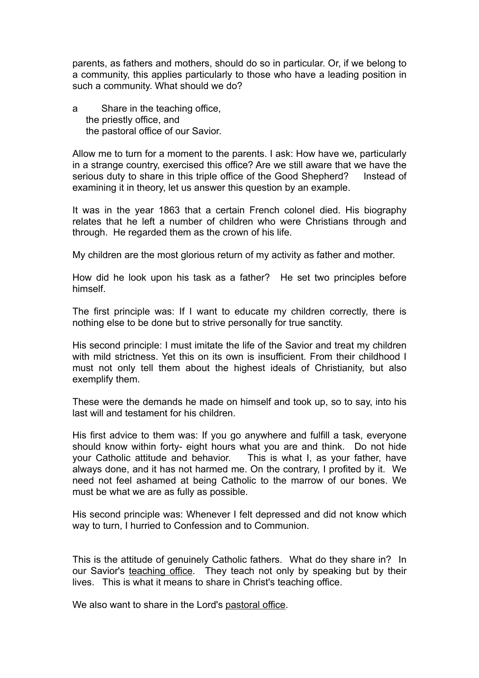parents, as fathers and mothers, should do so in particular. Or, if we belong to a community, this applies particularly to those who have a leading position in such a community. What should we do?

a Share in the teaching office, the priestly office, and the pastoral office of our Savior.

Allow me to turn for a moment to the parents. I ask: How have we, particularly in a strange country, exercised this office? Are we still aware that we have the serious duty to share in this triple office of the Good Shepherd? Instead of examining it in theory, let us answer this question by an example.

It was in the year 1863 that a certain French colonel died. His biography relates that he left a number of children who were Christians through and through. He regarded them as the crown of his life.

My children are the most glorious return of my activity as father and mother.

How did he look upon his task as a father? He set two principles before himself.

The first principle was: If I want to educate my children correctly, there is nothing else to be done but to strive personally for true sanctity.

His second principle: I must imitate the life of the Savior and treat my children with mild strictness. Yet this on its own is insufficient. From their childhood I must not only tell them about the highest ideals of Christianity, but also exemplify them.

These were the demands he made on himself and took up, so to say, into his last will and testament for his children.

His first advice to them was: If you go anywhere and fulfill a task, everyone should know within forty- eight hours what you are and think. Do not hide your Catholic attitude and behavior. This is what I, as your father, have always done, and it has not harmed me. On the contrary, I profited by it. We need not feel ashamed at being Catholic to the marrow of our bones. We must be what we are as fully as possible.

His second principle was: Whenever I felt depressed and did not know which way to turn, I hurried to Confession and to Communion.

This is the attitude of genuinely Catholic fathers. What do they share in? In our Savior's teaching office. They teach not only by speaking but by their lives. This is what it means to share in Christ's teaching office.

We also want to share in the Lord's pastoral office.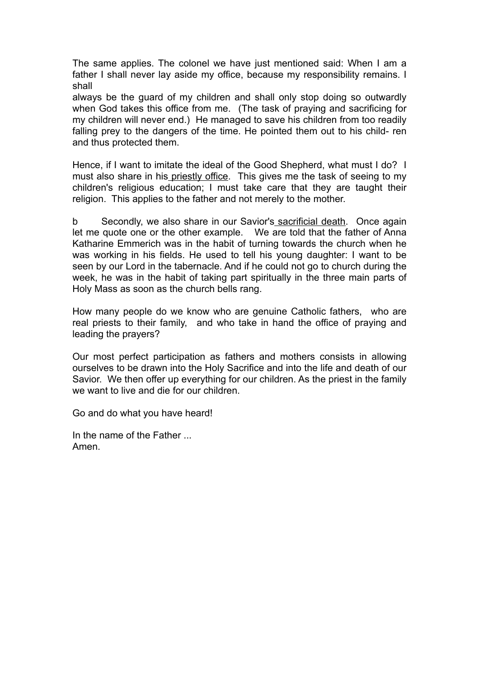The same applies. The colonel we have just mentioned said: When I am a father I shall never lay aside my office, because my responsibility remains. I shall

always be the guard of my children and shall only stop doing so outwardly when God takes this office from me. (The task of praying and sacrificing for my children will never end.) He managed to save his children from too readily falling prey to the dangers of the time. He pointed them out to his child- ren and thus protected them.

Hence, if I want to imitate the ideal of the Good Shepherd, what must I do? I must also share in his priestly office. This gives me the task of seeing to my children's religious education; I must take care that they are taught their religion. This applies to the father and not merely to the mother.

b Secondly, we also share in our Savior's sacrificial death. Once again let me quote one or the other example. We are told that the father of Anna Katharine Emmerich was in the habit of turning towards the church when he was working in his fields. He used to tell his young daughter: I want to be seen by our Lord in the tabernacle. And if he could not go to church during the week, he was in the habit of taking part spiritually in the three main parts of Holy Mass as soon as the church bells rang.

How many people do we know who are genuine Catholic fathers, who are real priests to their family, and who take in hand the office of praying and leading the prayers?

Our most perfect participation as fathers and mothers consists in allowing ourselves to be drawn into the Holy Sacrifice and into the life and death of our Savior. We then offer up everything for our children. As the priest in the family we want to live and die for our children.

Go and do what you have heard!

In the name of the Father ... Amen.